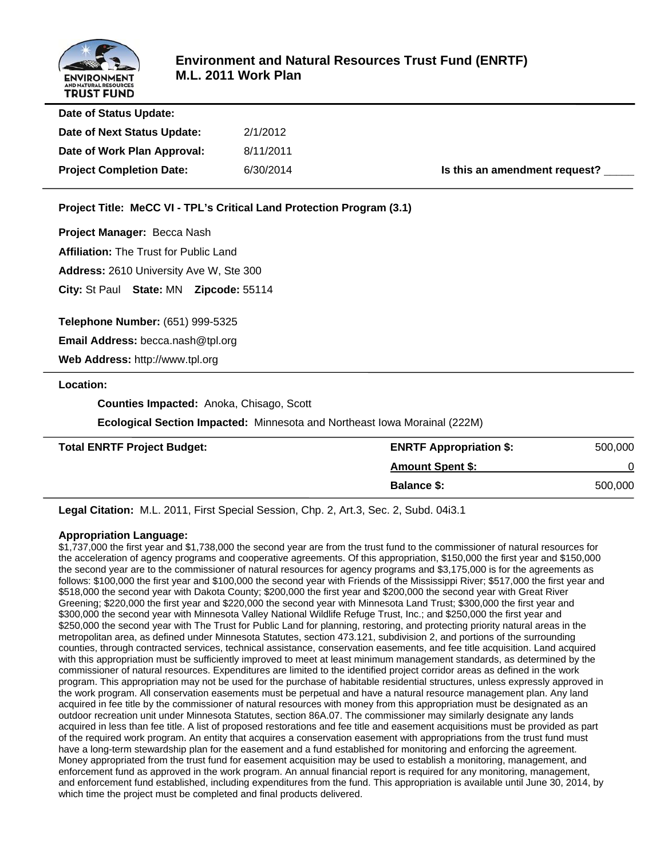

| Date of Status Update:          |           |                               |
|---------------------------------|-----------|-------------------------------|
| Date of Next Status Update:     | 2/1/2012  |                               |
| Date of Work Plan Approval:     | 8/11/2011 |                               |
| <b>Project Completion Date:</b> | 6/30/2014 | Is this an amendment request? |
|                                 |           |                               |

**Project Title: MeCC VI - TPL's Critical Land Protection Program (3.1)**

**Project Manager:** Becca Nash

**Affiliation:** The Trust for Public Land

**Address:** 2610 University Ave W, Ste 300

**City:** St Paul **State:** MN **Zipcode:** 55114

**Telephone Number:** (651) 999-5325

**Email Address:** becca.nash@tpl.org

**Web Address:** http://www.tpl.org

#### **Location:**

 **Counties Impacted:** Anoka, Chisago, Scott

 **Ecological Section Impacted:** Minnesota and Northeast Iowa Morainal (222M)

| <b>Total ENRTF Project Budget:</b> | <b>ENRTF Appropriation \$:</b> | 500,000 |
|------------------------------------|--------------------------------|---------|
|                                    | <b>Amount Spent \$:</b>        |         |
|                                    | <b>Balance \$:</b>             | 500,000 |

**Legal Citation:** M.L. 2011, First Special Session, Chp. 2, Art.3, Sec. 2, Subd. 04i3.1

#### **Appropriation Language:**

\$1,737,000 the first year and \$1,738,000 the second year are from the trust fund to the commissioner of natural resources for the acceleration of agency programs and cooperative agreements. Of this appropriation, \$150,000 the first year and \$150,000 the second year are to the commissioner of natural resources for agency programs and \$3,175,000 is for the agreements as follows: \$100,000 the first year and \$100,000 the second year with Friends of the Mississippi River; \$517,000 the first year and \$518,000 the second year with Dakota County; \$200,000 the first year and \$200,000 the second year with Great River Greening; \$220,000 the first year and \$220,000 the second year with Minnesota Land Trust; \$300,000 the first year and \$300,000 the second year with Minnesota Valley National Wildlife Refuge Trust, Inc.; and \$250,000 the first year and \$250,000 the second year with The Trust for Public Land for planning, restoring, and protecting priority natural areas in the metropolitan area, as defined under Minnesota Statutes, section 473.121, subdivision 2, and portions of the surrounding counties, through contracted services, technical assistance, conservation easements, and fee title acquisition. Land acquired with this appropriation must be sufficiently improved to meet at least minimum management standards, as determined by the commissioner of natural resources. Expenditures are limited to the identified project corridor areas as defined in the work program. This appropriation may not be used for the purchase of habitable residential structures, unless expressly approved in the work program. All conservation easements must be perpetual and have a natural resource management plan. Any land acquired in fee title by the commissioner of natural resources with money from this appropriation must be designated as an outdoor recreation unit under Minnesota Statutes, section 86A.07. The commissioner may similarly designate any lands acquired in less than fee title. A list of proposed restorations and fee title and easement acquisitions must be provided as part of the required work program. An entity that acquires a conservation easement with appropriations from the trust fund must have a long-term stewardship plan for the easement and a fund established for monitoring and enforcing the agreement. Money appropriated from the trust fund for easement acquisition may be used to establish a monitoring, management, and enforcement fund as approved in the work program. An annual financial report is required for any monitoring, management, and enforcement fund established, including expenditures from the fund. This appropriation is available until June 30, 2014, by which time the project must be completed and final products delivered.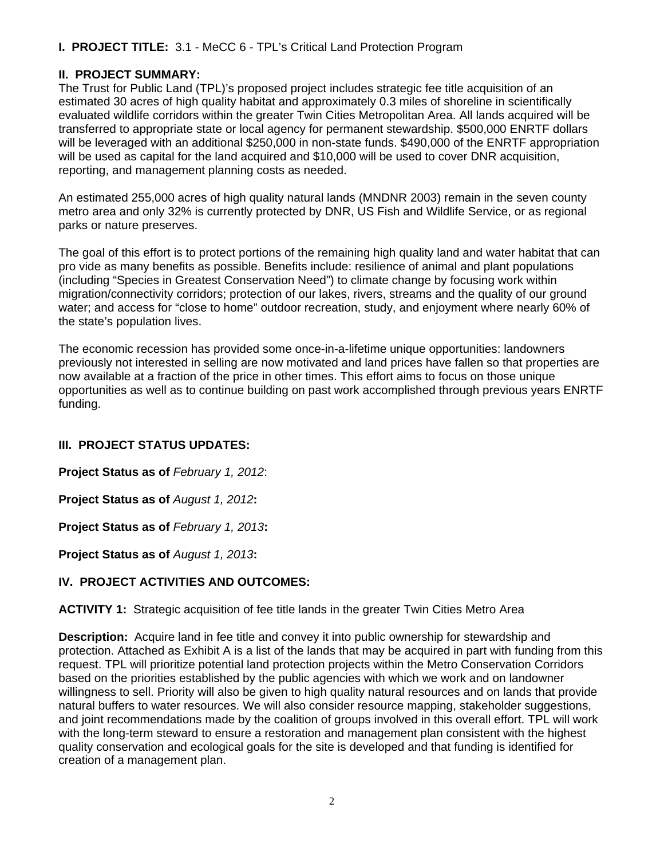#### **II. PROJECT SUMMARY:**

The Trust for Public Land (TPL)'s proposed project includes strategic fee title acquisition of an estimated 30 acres of high quality habitat and approximately 0.3 miles of shoreline in scientifically evaluated wildlife corridors within the greater Twin Cities Metropolitan Area. All lands acquired will be transferred to appropriate state or local agency for permanent stewardship. \$500,000 ENRTF dollars will be leveraged with an additional \$250,000 in non-state funds. \$490,000 of the ENRTF appropriation will be used as capital for the land acquired and \$10,000 will be used to cover DNR acquisition, reporting, and management planning costs as needed.

An estimated 255,000 acres of high quality natural lands (MNDNR 2003) remain in the seven county metro area and only 32% is currently protected by DNR, US Fish and Wildlife Service, or as regional parks or nature preserves.

The goal of this effort is to protect portions of the remaining high quality land and water habitat that can pro vide as many benefits as possible. Benefits include: resilience of animal and plant populations (including "Species in Greatest Conservation Need") to climate change by focusing work within migration/connectivity corridors; protection of our lakes, rivers, streams and the quality of our ground water; and access for "close to home" outdoor recreation, study, and enjoyment where nearly 60% of the state's population lives.

The economic recession has provided some once-in-a-lifetime unique opportunities: landowners previously not interested in selling are now motivated and land prices have fallen so that properties are now available at a fraction of the price in other times. This effort aims to focus on those unique opportunities as well as to continue building on past work accomplished through previous years ENRTF funding.

#### **III. PROJECT STATUS UPDATES:**

**Project Status as of** *February 1, 2012*:

**Project Status as of** *August 1, 2012***:**

**Project Status as of** *February 1, 2013***:**

**Project Status as of** *August 1, 2013***:**

#### **IV. PROJECT ACTIVITIES AND OUTCOMES:**

**ACTIVITY 1:** Strategic acquisition of fee title lands in the greater Twin Cities Metro Area

**Description:** Acquire land in fee title and convey it into public ownership for stewardship and protection. Attached as Exhibit A is a list of the lands that may be acquired in part with funding from this request. TPL will prioritize potential land protection projects within the Metro Conservation Corridors based on the priorities established by the public agencies with which we work and on landowner willingness to sell. Priority will also be given to high quality natural resources and on lands that provide natural buffers to water resources. We will also consider resource mapping, stakeholder suggestions, and joint recommendations made by the coalition of groups involved in this overall effort. TPL will work with the long-term steward to ensure a restoration and management plan consistent with the highest quality conservation and ecological goals for the site is developed and that funding is identified for creation of a management plan.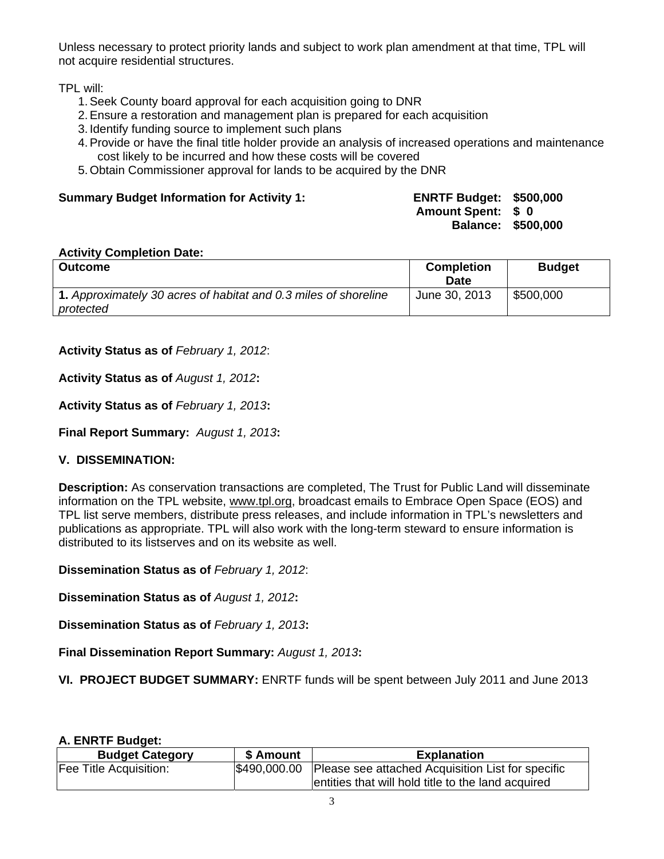Unless necessary to protect priority lands and subject to work plan amendment at that time, TPL will not acquire residential structures.

TPL will:

- 1. Seek County board approval for each acquisition going to DNR
- 2. Ensure a restoration and management plan is prepared for each acquisition
- 3. Identify funding source to implement such plans
- 4. Provide or have the final title holder provide an analysis of increased operations and maintenance cost likely to be incurred and how these costs will be covered
- 5. Obtain Commissioner approval for lands to be acquired by the DNR

#### **Summary Budget Information for Activity 1:**

| <b>ENRTF Budget:</b> | \$500,000 |
|----------------------|-----------|
| <b>Amount Spent:</b> | S O       |
| <b>Balance:</b>      | \$500,000 |

#### **Activity Completion Date:**

| <b>Outcome</b>                                                               | <b>Completion</b><br>Date | <b>Budget</b> |
|------------------------------------------------------------------------------|---------------------------|---------------|
| 1. Approximately 30 acres of habitat and 0.3 miles of shoreline<br>protected | June 30, 2013             | \$500,000     |

**Activity Status as of** *February 1, 2012*:

**Activity Status as of** *August 1, 2012***:**

**Activity Status as of** *February 1, 2013***:**

**Final Report Summary:** *August 1, 2013***:**

#### **V. DISSEMINATION:**

**Description:** As conservation transactions are completed, The Trust for Public Land will disseminate information on the TPL website, www.tpl.org, broadcast emails to Embrace Open Space (EOS) and TPL list serve members, distribute press releases, and include information in TPL's newsletters and publications as appropriate. TPL will also work with the long-term steward to ensure information is distributed to its listserves and on its website as well.

**Dissemination Status as of** *February 1, 2012*:

**Dissemination Status as of** *August 1, 2012***:**

**Dissemination Status as of** *February 1, 2013***:**

**Final Dissemination Report Summary:** *August 1, 2013***:**

**VI. PROJECT BUDGET SUMMARY:** ENRTF funds will be spent between July 2011 and June 2013

#### **A. ENRTF Budget:**

| <b>Budget Category</b> | \$ Amount | <b>Explanation</b>                                             |
|------------------------|-----------|----------------------------------------------------------------|
| Fee Title Acquisition: |           | \$490,000.00 Please see attached Acquisition List for specific |
|                        |           | entities that will hold title to the land acquired             |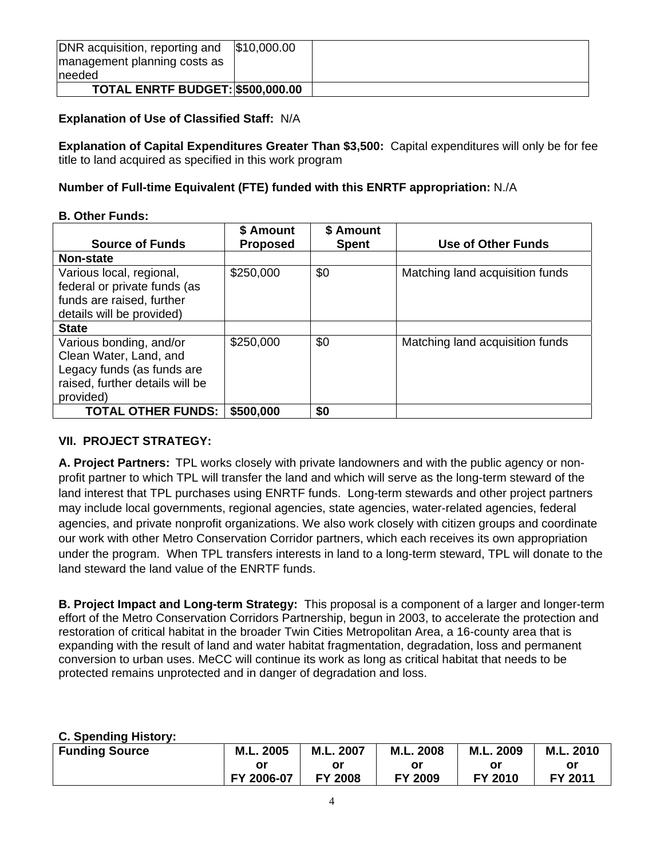| DNR acquisition, reporting and          | \$10,000.00 |  |
|-----------------------------------------|-------------|--|
| management planning costs as            |             |  |
| Ineeded                                 |             |  |
| <b>TOTAL ENRTF BUDGET: \$500,000.00</b> |             |  |

#### **Explanation of Use of Classified Staff:** N/A

**Explanation of Capital Expenditures Greater Than \$3,500:** Capital expenditures will only be for fee title to land acquired as specified in this work program

#### **Number of Full-time Equivalent (FTE) funded with this ENRTF appropriation:** N./A

#### **B. Other Funds:**

|                                 | \$ Amount       | \$ Amount    |                                 |  |  |  |  |
|---------------------------------|-----------------|--------------|---------------------------------|--|--|--|--|
| <b>Source of Funds</b>          | <b>Proposed</b> | <b>Spent</b> | <b>Use of Other Funds</b>       |  |  |  |  |
| <b>Non-state</b>                |                 |              |                                 |  |  |  |  |
| Various local, regional,        | \$250,000       | \$0          | Matching land acquisition funds |  |  |  |  |
| federal or private funds (as    |                 |              |                                 |  |  |  |  |
| funds are raised, further       |                 |              |                                 |  |  |  |  |
| details will be provided)       |                 |              |                                 |  |  |  |  |
| <b>State</b>                    |                 |              |                                 |  |  |  |  |
| Various bonding, and/or         | \$250,000       | \$0          | Matching land acquisition funds |  |  |  |  |
| Clean Water, Land, and          |                 |              |                                 |  |  |  |  |
| Legacy funds (as funds are      |                 |              |                                 |  |  |  |  |
| raised, further details will be |                 |              |                                 |  |  |  |  |
| provided)                       |                 |              |                                 |  |  |  |  |
| <b>TOTAL OTHER FUNDS:</b>       | \$500,000       | \$0          |                                 |  |  |  |  |

#### **VII. PROJECT STRATEGY:**

**A. Project Partners:** TPL works closely with private landowners and with the public agency or nonprofit partner to which TPL will transfer the land and which will serve as the long-term steward of the land interest that TPL purchases using ENRTF funds. Long-term stewards and other project partners may include local governments, regional agencies, state agencies, water-related agencies, federal agencies, and private nonprofit organizations. We also work closely with citizen groups and coordinate our work with other Metro Conservation Corridor partners, which each receives its own appropriation under the program. When TPL transfers interests in land to a long-term steward, TPL will donate to the land steward the land value of the ENRTF funds.

**B. Project Impact and Long-term Strategy:** This proposal is a component of a larger and longer-term effort of the Metro Conservation Corridors Partnership, begun in 2003, to accelerate the protection and restoration of critical habitat in the broader Twin Cities Metropolitan Area, a 16-county area that is expanding with the result of land and water habitat fragmentation, degradation, loss and permanent conversion to urban uses. MeCC will continue its work as long as critical habitat that needs to be protected remains unprotected and in danger of degradation and loss.

#### **C. Spending History:**

| <b>Funding Source</b> | M.L. 2005  | M.L. 2007      | M.L. 2008 | M.L. 2009 | M.L. 2010 |
|-----------------------|------------|----------------|-----------|-----------|-----------|
|                       | or         | Οľ             | oı        | or        | or        |
|                       | FY 2006-07 | <b>FY 2008</b> | FY 2009   | FY 2010   | FY 2011   |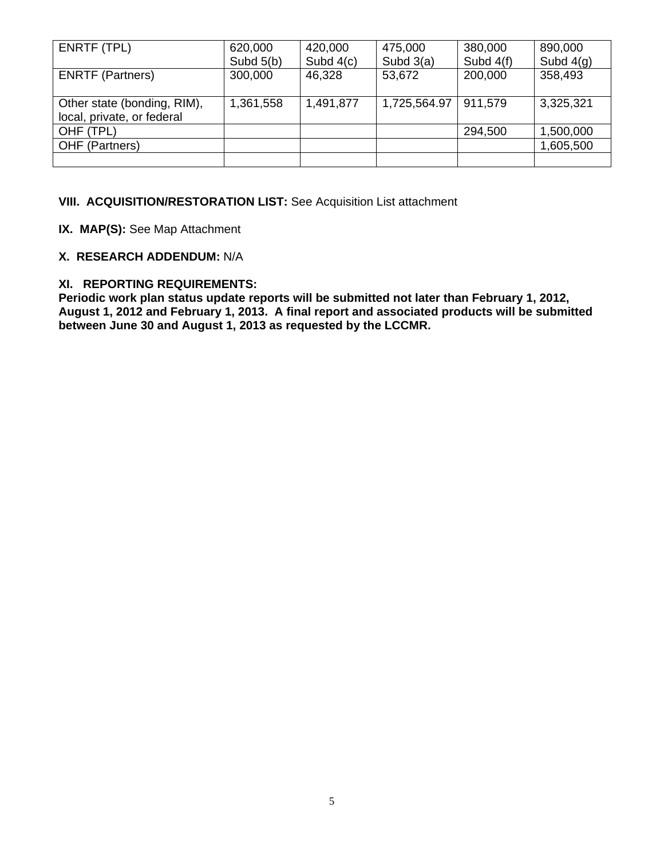| ENRTF (TPL)                                               | 620,000     | 420,000     | 475,000      | 380,000     | 890,000     |  |
|-----------------------------------------------------------|-------------|-------------|--------------|-------------|-------------|--|
|                                                           | Subd $5(b)$ | Subd $4(c)$ | Subd $3(a)$  | Subd $4(f)$ | Subd $4(q)$ |  |
| <b>ENRTF (Partners)</b>                                   | 300,000     | 46,328      | 53,672       | 200,000     | 358,493     |  |
| Other state (bonding, RIM),<br>local, private, or federal | 1,361,558   | 1,491,877   | 1,725,564.97 | 911,579     | 3,325,321   |  |
| OHF (TPL)                                                 |             |             |              | 294,500     | 1,500,000   |  |
| OHF (Partners)                                            |             |             |              |             | 1,605,500   |  |
|                                                           |             |             |              |             |             |  |

#### **VIII. ACQUISITION/RESTORATION LIST:** See Acquisition List attachment

**IX. MAP(S):** See Map Attachment

#### **X. RESEARCH ADDENDUM:** N/A

#### **XI. REPORTING REQUIREMENTS:**

**Periodic work plan status update reports will be submitted not later than February 1, 2012, August 1, 2012 and February 1, 2013. A final report and associated products will be submitted between June 30 and August 1, 2013 as requested by the LCCMR.**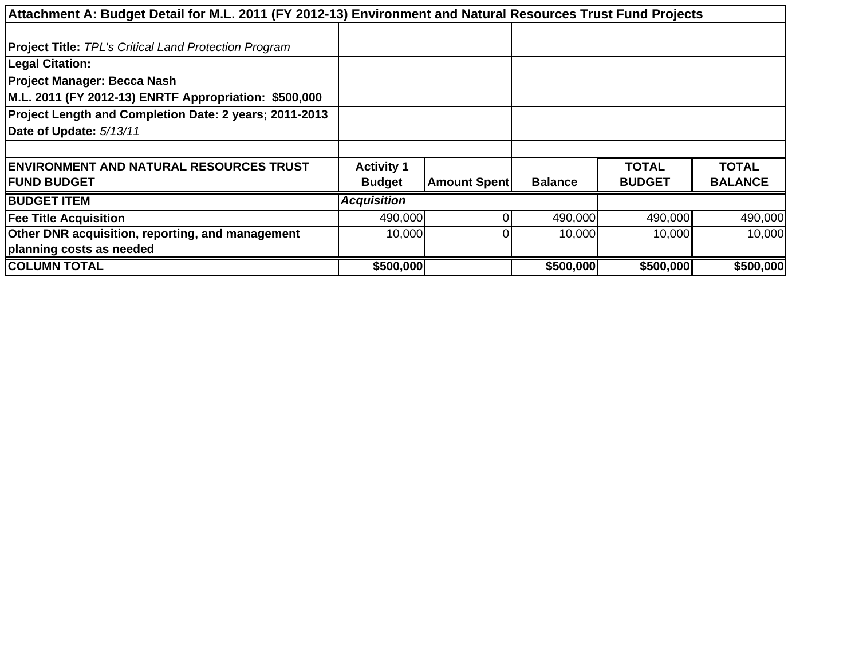| Attachment A: Budget Detail for M.L. 2011 (FY 2012-13) Environment and Natural Resources Trust Fund Projects |                    |                     |                |               |                |  |  |
|--------------------------------------------------------------------------------------------------------------|--------------------|---------------------|----------------|---------------|----------------|--|--|
|                                                                                                              |                    |                     |                |               |                |  |  |
|                                                                                                              |                    |                     |                |               |                |  |  |
| <b>Project Title: TPL's Critical Land Protection Program</b>                                                 |                    |                     |                |               |                |  |  |
| <b>Legal Citation:</b>                                                                                       |                    |                     |                |               |                |  |  |
| <b>Project Manager: Becca Nash</b>                                                                           |                    |                     |                |               |                |  |  |
| M.L. 2011 (FY 2012-13) ENRTF Appropriation: \$500,000                                                        |                    |                     |                |               |                |  |  |
| Project Length and Completion Date: 2 years; 2011-2013                                                       |                    |                     |                |               |                |  |  |
| Date of Update: 5/13/11                                                                                      |                    |                     |                |               |                |  |  |
|                                                                                                              |                    |                     |                |               |                |  |  |
| <b>ENVIRONMENT AND NATURAL RESOURCES TRUST</b>                                                               | <b>Activity 1</b>  |                     |                | <b>TOTAL</b>  | <b>TOTAL</b>   |  |  |
| <b>IFUND BUDGET</b>                                                                                          | <b>Budget</b>      | <b>Amount Spent</b> | <b>Balance</b> | <b>BUDGET</b> | <b>BALANCE</b> |  |  |
| <b>BUDGET ITEM</b>                                                                                           | <b>Acquisition</b> |                     |                |               |                |  |  |
| <b>Fee Title Acquisition</b>                                                                                 | 490,000            |                     | 490,000        | 490,000       | 490,000        |  |  |
| Other DNR acquisition, reporting, and management                                                             | 10,000             | O                   | 10,000         | 10,000        | 10,000         |  |  |
| planning costs as needed                                                                                     |                    |                     |                |               |                |  |  |
| <b>COLUMN TOTAL</b>                                                                                          | \$500,000          |                     | \$500,000      | \$500,000     | \$500,000      |  |  |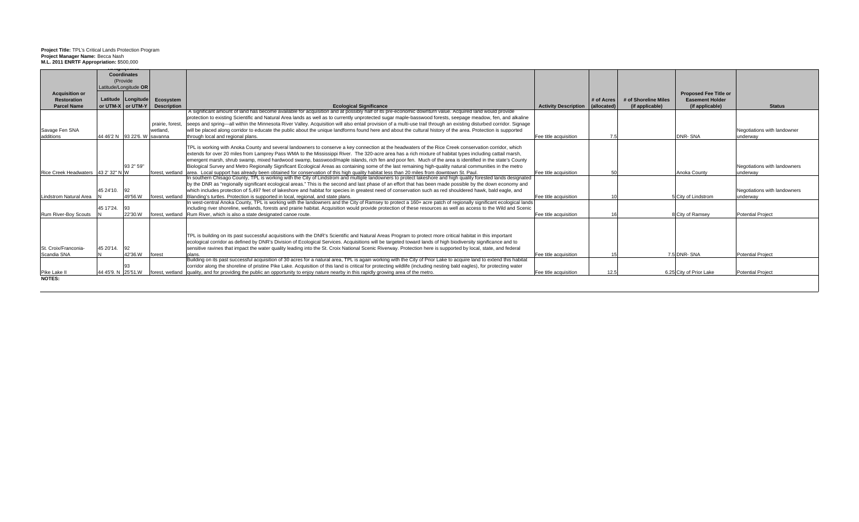### **Project Title:** TPL's Critical Lands Protection Program **Project Manager Name:** Becca Nash **M.L. 2011 ENRTF Appropriation:** \$500,000

|                                     |                    | <b>Coordinates</b>                 |                    |                                                                                                                                                                        |                                  |            |                      |                              |                              |
|-------------------------------------|--------------------|------------------------------------|--------------------|------------------------------------------------------------------------------------------------------------------------------------------------------------------------|----------------------------------|------------|----------------------|------------------------------|------------------------------|
|                                     |                    | (Provide)<br>Latitude/Longitude OR |                    |                                                                                                                                                                        |                                  |            |                      |                              |                              |
| <b>Acquisition or</b>               |                    |                                    |                    |                                                                                                                                                                        |                                  |            |                      | <b>Proposed Fee Title or</b> |                              |
| <b>Restoration</b>                  |                    | Latitude Longitude                 | Ecosystem          |                                                                                                                                                                        |                                  | # of Acres | # of Shoreline Miles | <b>Easement Holder</b>       |                              |
| <b>Parcel Name</b>                  |                    | or UTM-X or UTM-Y                  | <b>Description</b> | <b>Ecological Significance</b>                                                                                                                                         | Activity Description (allocated) |            | (if applicable)      | (if applicable)              | <b>Status</b>                |
|                                     |                    |                                    |                    | A significant amount of land has become available for acquisition and at possibly half of its pre-economic downturn value. Acquired land would provide                 |                                  |            |                      |                              |                              |
|                                     |                    |                                    |                    | protection to existing Scientific and Natural Area lands as well as to currently unprotected sugar maple-basswood forests, seepage meadow, fen, and alkaline           |                                  |            |                      |                              |                              |
|                                     |                    |                                    | prairie, forest.   | seeps and spring—all within the Minnesota River Valley. Acquisition will also entail provision of a multi-use trail through an existing disturbed corridor. Signage    |                                  |            |                      |                              |                              |
| Savage Fen SNA                      |                    |                                    | wetland.           | will be placed along corridor to educate the public about the unique landforms found here and about the cultural history of the area. Protection is supported          |                                  |            |                      |                              | Negotiations with landowner  |
| additions                           |                    | 44 46'2 N 93 22'6, W savanna       |                    | through local and regional plans.                                                                                                                                      | Fee title acquisition            |            |                      | DNR-SNA                      | underway                     |
|                                     |                    |                                    |                    | TPL is working with Anoka County and several landowners to conserve a key connection at the headwaters of the Rice Creek conservation corridor, which                  |                                  |            |                      |                              |                              |
|                                     |                    |                                    |                    | extends for over 20 miles from Lamprey Pass WMA to the Mississippi River. The 320-acre area has a rich mixture of habitat types including cattail marsh,               |                                  |            |                      |                              |                              |
|                                     |                    |                                    |                    | emergent marsh, shrub swamp, mixed hardwood swamp, basswood/maple islands, rich fen and poor fen. Much of the area is identified in the state's County                 |                                  |            |                      |                              |                              |
|                                     |                    | 93 2" 59"                          |                    | Biological Survey and Metro Regionally Significant Ecological Areas as containing some of the last remaining high-quality natural communities in the metro             |                                  |            |                      |                              | Negotiations with landowners |
| Rice Creek Headwaters 43 2' 32" N W |                    |                                    | forest, wetland    | area. Local support has already been obtained for conservation of this high quality habitat less than 20 miles from downtown St. Paul.                                 | Fee title acquisition            |            |                      | Anoka County                 | underway                     |
|                                     |                    |                                    |                    | In southern Chisago County, TPL is working with the City of Lindstrom and multiple landowners to protect lakeshore and high quality forested lands designated          |                                  |            |                      |                              |                              |
|                                     |                    |                                    |                    | by the DNR as "regionally significant ecological areas." This is the second and last phase of an effort that has been made possible by the down economy and            |                                  |            |                      |                              |                              |
|                                     | 45 24 10.          | 92                                 |                    | which includes protection of 5,497 feet of lakeshore and habitat for species in greatest need of conservation such as red shouldered hawk, bald eagle, and             |                                  |            |                      |                              | Negotiations with landowners |
| Lindstrom Natural Area              |                    | 49'56.W                            | forest, wetland    | Blanding's turtles. Protection is supported in local, regional, and state plans.                                                                                       | Fee title acquisition            |            |                      | 5 City of Lindstrom          | underway                     |
|                                     |                    |                                    |                    | In west-central Anoka County, TPL is working with the landowners and the City of Ramsey to protect a 160+ acre patch of regionally significant ecological lands        |                                  |            |                      |                              |                              |
|                                     | 45 17'24.          | -93                                |                    | including river shoreline, wetlands, forests and prairie habitat. Acquisition would provide protection of these resources as well as access to the Wild and Scenic     |                                  |            |                      |                              |                              |
| Rum River-Boy Scouts                |                    | 22'30.W                            |                    | forest, wetland Rum River, which is also a state designated canoe route                                                                                                | Fee title acquisition            |            |                      | 8 City of Ramsey             | Potential Project            |
|                                     |                    |                                    |                    |                                                                                                                                                                        |                                  |            |                      |                              |                              |
|                                     |                    |                                    |                    | TPL is building on its past successful acquisitions with the DNR's Scientific and Natural Areas Program to protect more critical habitat in this important             |                                  |            |                      |                              |                              |
|                                     |                    |                                    |                    | ecological corridor as defined by DNR's Division of Ecological Services. Acquisitions will be targeted toward lands of high biodiversity significance and to           |                                  |            |                      |                              |                              |
| St. Croix/Franconia-                | 45 20'14.          | 92                                 |                    | sensitive ravines that impact the water quality leading into the St. Croix National Scenic Riverway. Protection here is supported by local, state, and federal         |                                  |            |                      |                              |                              |
| Scandia SNA                         |                    | 42'36.W forest                     |                    | plans.                                                                                                                                                                 | Fee title acquisition            |            |                      | 7.5 DNR-SNA                  | <b>Potential Project</b>     |
|                                     |                    |                                    |                    | Building on its past successful acquisition of 30 acres for a natural area, TPL is again working with the City of Prior Lake to acquire land to extend this habitat    |                                  |            |                      |                              |                              |
|                                     |                    |                                    |                    | corridor along the shoreline of pristine Pike Lake. Acquisition of this land is critical for protecting wildlife (including nesting bald eagles), for protecting water |                                  |            |                      |                              |                              |
| Pike Lake II                        | 44 45'9. N 25'51.W |                                    | forest, wetland    | quality, and for providing the public an opportunity to enjoy nature nearby in this rapidly growing area of the metro.                                                 | Fee title acquisition            | 12.5       |                      | 6.25 City of Prior Lake      | Potential Project            |
| <b>NOTES:</b>                       |                    |                                    |                    |                                                                                                                                                                        |                                  |            |                      |                              |                              |
|                                     |                    |                                    |                    |                                                                                                                                                                        |                                  |            |                      |                              |                              |
|                                     |                    |                                    |                    |                                                                                                                                                                        |                                  |            |                      |                              |                              |